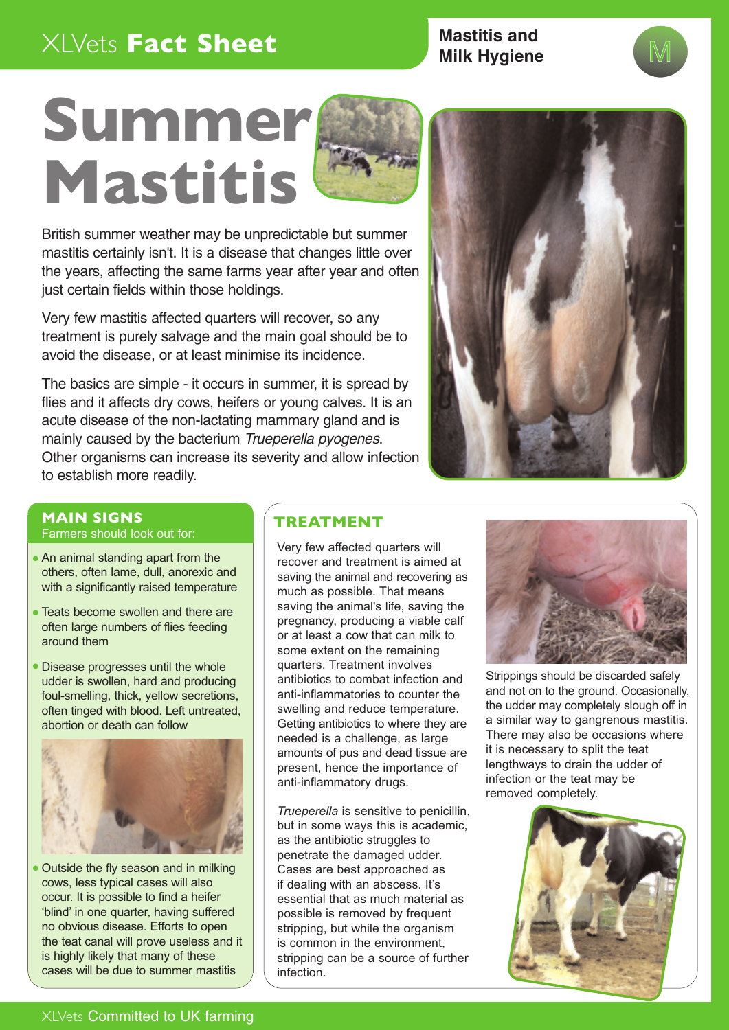# XLVets **Fact Sheet**

**Mastitis and Milk Hygiene** 





British summer weather may be unpredictable but summer mastitis certainly isn't. It is a disease that changes little over the years, affecting the same farms year after year and often just certain fields within those holdings.

Very few mastitis affected quarters will recover, so any treatment is purely salvage and the main goal should be to avoid the disease, or at least minimise its incidence.

The basics are simple - it occurs in summer, it is spread by flies and it affects dry cows, heifers or young calves. It is an acute disease of the non-lactating mammary gland and is mainly caused by the bacterium Trueperella pyogenes. Other organisms can increase its severity and allow infection to establish more readily.



#### **MAIN SIGNS TREATMENT**

Farmers should look out for:

- An animal standing apart from the others, often lame, dull, anorexic and with a significantly raised temperature
- Teats become swollen and there are often large numbers of flies feeding around them
- Disease progresses until the whole udder is swollen, hard and producing foul-smelling, thick, yellow secretions, often tinged with blood. Left untreated, abortion or death can follow



• Outside the fly season and in milking cows, less typical cases will also occur. It is possible to find a heifer 'blind' in one quarter, having suffered no obvious disease. Efforts to open the teat canal will prove useless and it is highly likely that many of these cases will be due to summer mastitis

Very few affected quarters will recover and treatment is aimed at saving the animal and recovering as much as possible. That means saving the animal's life, saving the pregnancy, producing a viable calf or at least a cow that can milk to some extent on the remaining quarters. Treatment involves antibiotics to combat infection and anti-inflammatories to counter the swelling and reduce temperature. Getting antibiotics to where they are needed is a challenge, as large amounts of pus and dead tissue are present, hence the importance of anti-inflammatory drugs.

*Trueperella* is sensitive to penicillin, but in some ways this is academic, as the antibiotic struggles to penetrate the damaged udder. Cases are best approached as if dealing with an abscess. It's essential that as much material as possible is removed by frequent stripping, but while the organism is common in the environment, stripping can be a source of further infection.



Strippings should be discarded safely and not on to the ground. Occasionally, the udder may completely slough off in a similar way to gangrenous mastitis. There may also be occasions where it is necessary to split the teat lengthways to drain the udder of infection or the teat may be removed completely.